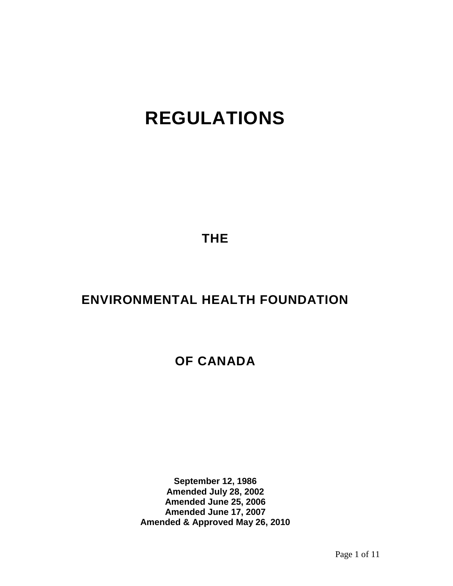# **REGULATIONS**

**THE**

# **ENVIRONMENTAL HEALTH FOUNDATION**

# **OF CANADA**

**September 12, 1986 Amended July 28, 2002 Amended June 25, 2006 Amended June 17, 2007 Amended & Approved May 26, 2010**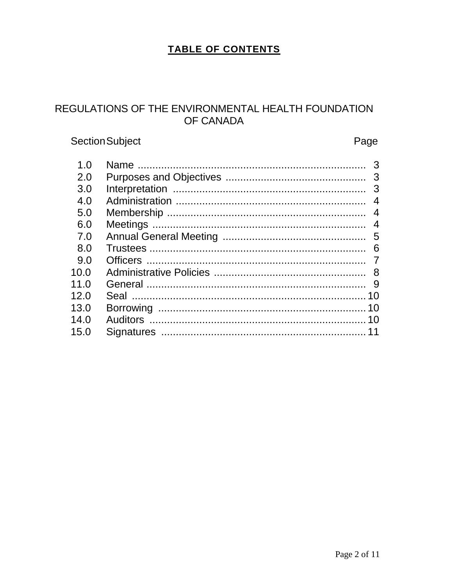### TABLE OF CONTENTS

### REGULATIONS OF THE ENVIRONMENTAL HEALTH FOUNDATION OF CANADA

# Section Subject

### Page

| 4              |
|----------------|
| $\overline{4}$ |
| $\overline{4}$ |
|                |
| -6             |
|                |
|                |
|                |
| 10             |
|                |
|                |
|                |
|                |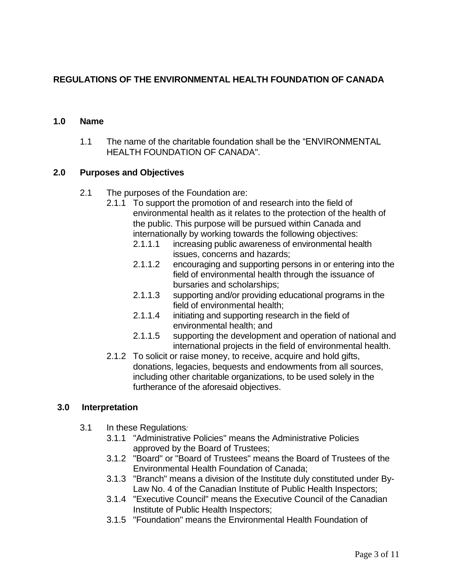#### **REGULATIONS OF THE ENVIRONMENTAL HEALTH FOUNDATION OF CANADA**

#### **1.0 Name**

1.1 The name of the charitable foundation shall be the "ENVIRONMENTAL HEALTH FOUNDATION OF CANADA".

#### **2.0 Purposes and Objectives**

- 2.1 The purposes of the Foundation are:
	- 2.1.1 To support the promotion of and research into the field of environmental health as it relates to the protection of the health of the public. This purpose will be pursued within Canada and internationally by working towards the following objectives:
		- 2.1.1.1 increasing public awareness of environmental health issues, concerns and hazards;
		- 2.1.1.2 encouraging and supporting persons in or entering into the field of environmental health through the issuance of bursaries and scholarships;
		- 2.1.1.3 supporting and/or providing educational programs in the field of environmental health;
		- 2.1.1.4 initiating and supporting research in the field of environmental health; and
		- 2.1.1.5 supporting the development and operation of national and international projects in the field of environmental health.
	- 2.1.2 To solicit or raise money, to receive, acquire and hold gifts, donations, legacies, bequests and endowments from all sources, including other charitable organizations, to be used solely in the furtherance of the aforesaid objectives.

#### **3.0 Interpretation**

- 3.1 In these Regulations*:* 
	- 3.1.1 "Administrative Policies" means the Administrative Policies approved by the Board of Trustees;
	- 3.1.2 "Board" or "Board of Trustees" means the Board of Trustees of the Environmental Health Foundation of Canada;
	- 3.1.3 "Branch" means a division of the Institute duly constituted under By-Law No. 4 of the Canadian Institute of Public Health Inspectors;
	- 3.1.4 "Executive Council" means the Executive Council of the Canadian Institute of Public Health Inspectors;
	- 3.1.5 "Foundation" means the Environmental Health Foundation of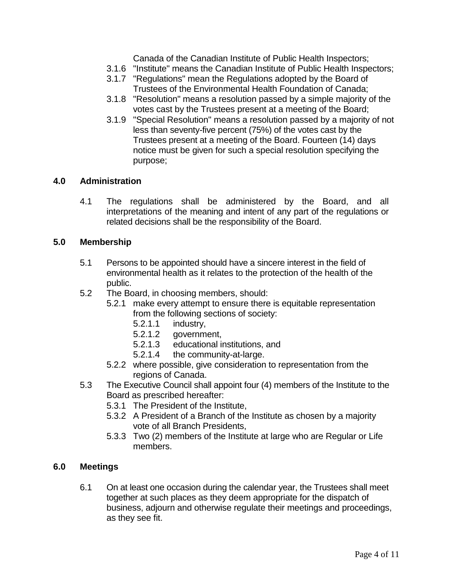Canada of the Canadian Institute of Public Health Inspectors;

- 3.1.6 "Institute" means the Canadian Institute of Public Health Inspectors;
- 3.1.7 "Regulations" mean the Regulations adopted by the Board of Trustees of the Environmental Health Foundation of Canada;
- 3.1.8 "Resolution" means a resolution passed by a simple majority of the votes cast by the Trustees present at a meeting of the Board;
- 3.1.9 "Special Resolution" means a resolution passed by a majority of not less than seventy-five percent (75%) of the votes cast by the Trustees present at a meeting of the Board. Fourteen (14) days notice must be given for such a special resolution specifying the purpose;

#### **4.0 Administration**

4.1 The regulations shall be administered by the Board, and all interpretations of the meaning and intent of any part of the regulations or related decisions shall be the responsibility of the Board.

#### **5.0 Membership**

- 5.1 Persons to be appointed should have a sincere interest in the field of environmental health as it relates to the protection of the health of the public.
- 5.2 The Board, in choosing members, should:
	- 5.2.1 make every attempt to ensure there is equitable representation from the following sections of society:
		- 5.2.1.1 industry,
		- 5.2.1.2 government,
		- 5.2.1.3 educational institutions, and
		- 5.2.1.4 the community-at-large.
	- 5.2.2 where possible, give consideration to representation from the regions of Canada.
- 5.3 The Executive Council shall appoint four (4) members of the Institute to the Board as prescribed hereafter:
	- 5.3.1 The President of the Institute,
	- 5.3.2 A President of a Branch of the Institute as chosen by a majority vote of all Branch Presidents,
	- 5.3.3 Two (2) members of the Institute at large who are Regular or Life members.

#### **6.0 Meetings**

6.1 On at least one occasion during the calendar year, the Trustees shall meet together at such places as they deem appropriate for the dispatch of business, adjourn and otherwise regulate their meetings and proceedings, as they see fit.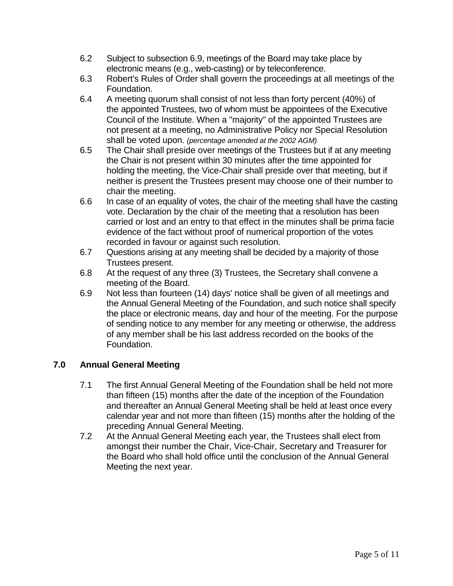- 6.2 Subject to subsection 6.9, meetings of the Board may take place by electronic means (e.g., web-casting) or by teleconference.
- 6.3 Robert's Rules of Order shall govern the proceedings at all meetings of the Foundation.
- 6.4 A meeting quorum shall consist of not less than forty percent (40%) of the appointed Trustees, two of whom must be appointees of the Executive Council of the Institute. When a "majority" of the appointed Trustees are not present at a meeting, no Administrative Policy nor Special Resolution shall be voted upon. *(percentage amended at the 2002 AGM)*
- 6.5 The Chair shall preside over meetings of the Trustees but if at any meeting the Chair is not present within 30 minutes after the time appointed for holding the meeting, the Vice-Chair shall preside over that meeting, but if neither is present the Trustees present may choose one of their number to chair the meeting.
- 6.6 In case of an equality of votes, the chair of the meeting shall have the casting vote. Declaration by the chair of the meeting that a resolution has been carried or lost and an entry to that effect in the minutes shall be prima facie evidence of the fact without proof of numerical proportion of the votes recorded in favour or against such resolution.
- 6.7 Questions arising at any meeting shall be decided by a majority of those Trustees present.
- 6.8 At the request of any three (3) Trustees, the Secretary shall convene a meeting of the Board.
- 6.9 Not less than fourteen (14) days' notice shall be given of all meetings and the Annual General Meeting of the Foundation, and such notice shall specify the place or electronic means, day and hour of the meeting. For the purpose of sending notice to any member for any meeting or otherwise, the address of any member shall be his last address recorded on the books of the Foundation.

### **7.0 Annual General Meeting**

- 7.1 The first Annual General Meeting of the Foundation shall be held not more than fifteen (15) months after the date of the inception of the Foundation and thereafter an Annual General Meeting shall be held at least once every calendar year and not more than fifteen (15) months after the holding of the preceding Annual General Meeting.
- 7.2 At the Annual General Meeting each year, the Trustees shall elect from amongst their number the Chair, Vice-Chair, Secretary and Treasurer for the Board who shall hold office until the conclusion of the Annual General Meeting the next year.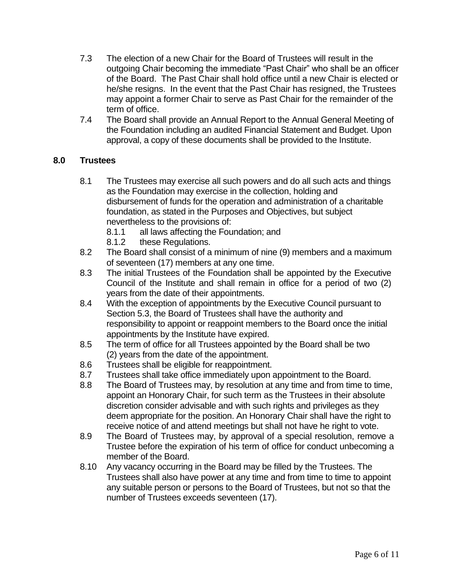- 7.3 The election of a new Chair for the Board of Trustees will result in the outgoing Chair becoming the immediate "Past Chair" who shall be an officer of the Board. The Past Chair shall hold office until a new Chair is elected or he/she resigns. In the event that the Past Chair has resigned, the Trustees may appoint a former Chair to serve as Past Chair for the remainder of the term of office.
- 7.4 The Board shall provide an Annual Report to the Annual General Meeting of the Foundation including an audited Financial Statement and Budget. Upon approval, a copy of these documents shall be provided to the Institute.

#### **8.0 Trustees**

- 8.1 The Trustees may exercise all such powers and do all such acts and things as the Foundation may exercise in the collection, holding and disbursement of funds for the operation and administration of a charitable foundation, as stated in the Purposes and Objectives, but subject nevertheless to the provisions of:
	- 8.1.1 all laws affecting the Foundation; and
	- 8.1.2 these Regulations.
- 8.2 The Board shall consist of a minimum of nine (9) members and a maximum of seventeen (17) members at any one time.
- 8.3 The initial Trustees of the Foundation shall be appointed by the Executive Council of the Institute and shall remain in office for a period of two (2) years from the date of their appointments.
- 8.4 With the exception of appointments by the Executive Council pursuant to Section 5.3, the Board of Trustees shall have the authority and responsibility to appoint or reappoint members to the Board once the initial appointments by the Institute have expired.
- 8.5 The term of office for all Trustees appointed by the Board shall be two (2) years from the date of the appointment.
- 8.6 Trustees shall be eligible for reappointment.
- 8.7 Trustees shall take office immediately upon appointment to the Board.
- 8.8 The Board of Trustees may, by resolution at any time and from time to time, appoint an Honorary Chair, for such term as the Trustees in their absolute discretion consider advisable and with such rights and privileges as they deem appropriate for the position. An Honorary Chair shall have the right to receive notice of and attend meetings but shall not have he right to vote.
- 8.9 The Board of Trustees may, by approval of a special resolution, remove a Trustee before the expiration of his term of office for conduct unbecoming a member of the Board.
- 8.10 Any vacancy occurring in the Board may be filled by the Trustees. The Trustees shall also have power at any time and from time to time to appoint any suitable person or persons to the Board of Trustees, but not so that the number of Trustees exceeds seventeen (17).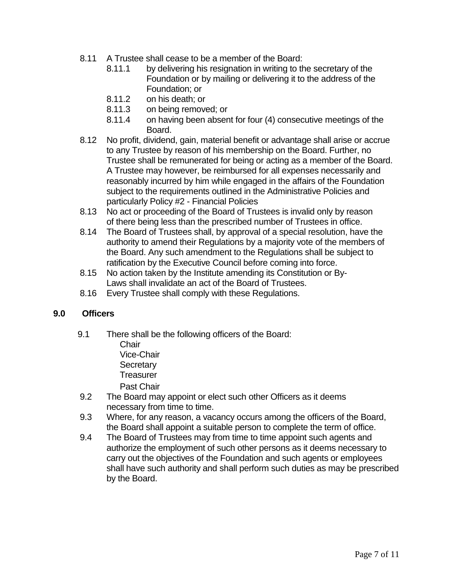- 8.11 A Trustee shall cease to be a member of the Board:
	- 8.11.1 by delivering his resignation in writing to the secretary of the Foundation or by mailing or delivering it to the address of the Foundation; or
	- 8.11.2 on his death; or
	- 8.11.3 on being removed; or
	- 8.11.4 on having been absent for four (4) consecutive meetings of the Board.
- 8.12 No profit, dividend, gain, material benefit or advantage shall arise or accrue to any Trustee by reason of his membership on the Board. Further, no Trustee shall be remunerated for being or acting as a member of the Board. A Trustee may however, be reimbursed for all expenses necessarily and reasonably incurred by him while engaged in the affairs of the Foundation subject to the requirements outlined in the Administrative Policies and particularly Policy #2 - Financial Policies
- 8.13 No act or proceeding of the Board of Trustees is invalid only by reason of there being less than the prescribed number of Trustees in office.
- 8.14 The Board of Trustees shall, by approval of a special resolution, have the authority to amend their Regulations by a majority vote of the members of the Board. Any such amendment to the Regulations shall be subject to ratification by the Executive Council before coming into force.
- 8.15 No action taken by the Institute amending its Constitution or By-Laws shall invalidate an act of the Board of Trustees.
- 8.16 Every Trustee shall comply with these Regulations.

#### **9.0 Officers**

9.1 There shall be the following officers of the Board:

Chair Vice-Chair **Secretary Treasurer** Past Chair

- 9.2 The Board may appoint or elect such other Officers as it deems necessary from time to time.
- 9.3 Where, for any reason, a vacancy occurs among the officers of the Board, the Board shall appoint a suitable person to complete the term of office.
- 9.4 The Board of Trustees may from time to time appoint such agents and authorize the employment of such other persons as it deems necessary to carry out the objectives of the Foundation and such agents or employees shall have such authority and shall perform such duties as may be prescribed by the Board.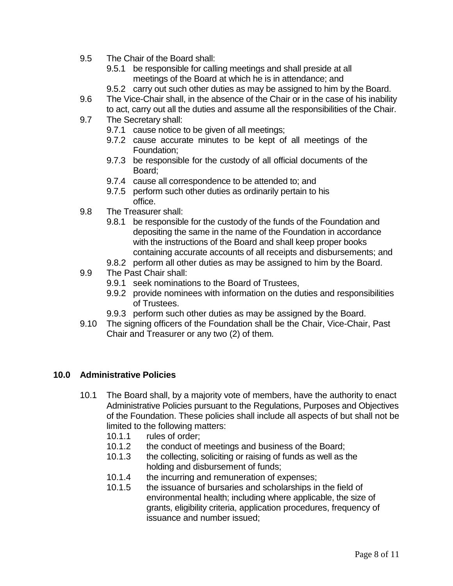- 9.5 The Chair of the Board shall:
	- 9.5.1 be responsible for calling meetings and shall preside at all meetings of the Board at which he is in attendance; and
	- 9.5.2 carry out such other duties as may be assigned to him by the Board.
- 9.6 The Vice-Chair shall, in the absence of the Chair or in the case of his inability to act, carry out all the duties and assume all the responsibilities of the Chair.
- 9.7 The Secretary shall:
	- 9.7.1 cause notice to be given of all meetings;
	- 9.7.2 cause accurate minutes to be kept of all meetings of the Foundation;
	- 9.7.3 be responsible for the custody of all official documents of the Board;
	- 9.7.4 cause all correspondence to be attended to; and
	- 9.7.5 perform such other duties as ordinarily pertain to his office.
- 9.8 The Treasurer shall:
	- 9.8.1 be responsible for the custody of the funds of the Foundation and depositing the same in the name of the Foundation in accordance with the instructions of the Board and shall keep proper books containing accurate accounts of all receipts and disbursements; and
	- 9.8.2 perform all other duties as may be assigned to him by the Board.
- 9.9 The Past Chair shall:
	- 9.9.1 seek nominations to the Board of Trustees,
	- 9.9.2 provide nominees with information on the duties and responsibilities of Trustees.
	- 9.9.3 perform such other duties as may be assigned by the Board.
- 9.10 The signing officers of the Foundation shall be the Chair, Vice-Chair, Past Chair and Treasurer or any two (2) of them*.*

#### **10.0 Administrative Policies**

- 10.1 The Board shall, by a majority vote of members, have the authority to enact Administrative Policies pursuant to the Regulations, Purposes and Objectives of the Foundation. These policies shall include all aspects of but shall not be limited to the following matters:
	- 10.1.1 rules of order;
	- 10.1.2 the conduct of meetings and business of the Board;
	- 10.1.3 the collecting, soliciting or raising of funds as well as the holding and disbursement of funds;
	- 10.1.4 the incurring and remuneration of expenses;
	- 10.1.5 the issuance of bursaries and scholarships in the field of environmental health; including where applicable, the size of grants, eligibility criteria, application procedures, frequency of issuance and number issued;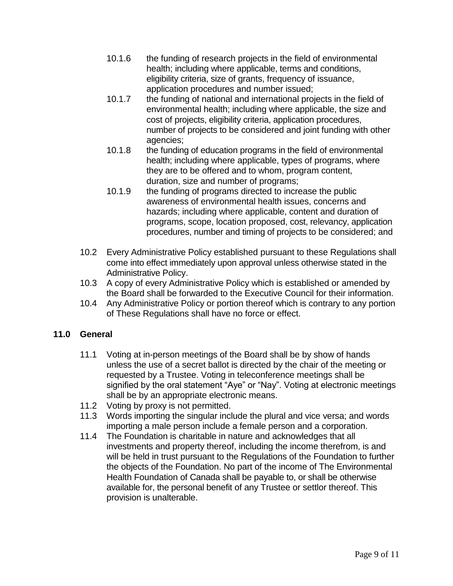- 10.1.6 the funding of research projects in the field of environmental health; including where applicable, terms and conditions, eligibility criteria, size of grants, frequency of issuance, application procedures and number issued;
- 10.1.7 the funding of national and international projects in the field of environmental health; including where applicable, the size and cost of projects, eligibility criteria, application procedures, number of projects to be considered and joint funding with other agencies;
- 10.1.8 the funding of education programs in the field of environmental health; including where applicable, types of programs, where they are to be offered and to whom, program content, duration, size and number of programs;
- 10.1.9 the funding of programs directed to increase the public awareness of environmental health issues, concerns and hazards; including where applicable, content and duration of programs, scope, location proposed, cost, relevancy, application procedures, number and timing of projects to be considered; and
- 10.2 Every Administrative Policy established pursuant to these Regulations shall come into effect immediately upon approval unless otherwise stated in the Administrative Policy.
- 10.3 A copy of every Administrative Policy which is established or amended by the Board shall be forwarded to the Executive Council for their information.
- 10.4 Any Administrative Policy or portion thereof which is contrary to any portion of These Regulations shall have no force or effect.

### **11.0 General**

- 11.1 Voting at in-person meetings of the Board shall be by show of hands unless the use of a secret ballot is directed by the chair of the meeting or requested by a Trustee. Voting in teleconference meetings shall be signified by the oral statement "Aye" or "Nay". Voting at electronic meetings shall be by an appropriate electronic means.
- 11.2 Voting by proxy is not permitted.
- 11.3 Words importing the singular include the plural and vice versa; and words importing a male person include a female person and a corporation.
- 11.4 The Foundation is charitable in nature and acknowledges that all investments and property thereof, including the income therefrom, is and will be held in trust pursuant to the Regulations of the Foundation to further the objects of the Foundation. No part of the income of The Environmental Health Foundation of Canada shall be payable to, or shall be otherwise available for, the personal benefit of any Trustee or settlor thereof. This provision is unalterable.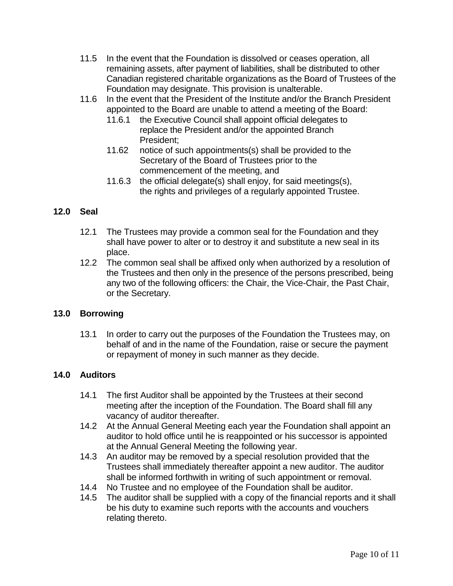- 11.5 In the event that the Foundation is dissolved or ceases operation, all remaining assets, after payment of liabilities, shall be distributed to other Canadian registered charitable organizations as the Board of Trustees of the Foundation may designate. This provision is unalterable.
- 11.6 In the event that the President of the Institute and/or the Branch President appointed to the Board are unable to attend a meeting of the Board:
	- 11.6.1 the Executive Council shall appoint official delegates to replace the President and/or the appointed Branch President;
	- 11.62 notice of such appointments(s) shall be provided to the Secretary of the Board of Trustees prior to the commencement of the meeting, and
	- 11.6.3 the official delegate(s) shall enjoy, for said meetings(s), the rights and privileges of a regularly appointed Trustee.

#### **12.0 Seal**

- 12.1 The Trustees may provide a common seal for the Foundation and they shall have power to alter or to destroy it and substitute a new seal in its place.
- 12.2 The common seal shall be affixed only when authorized by a resolution of the Trustees and then only in the presence of the persons prescribed, being any two of the following officers: the Chair, the Vice-Chair, the Past Chair, or the Secretary.

#### **13.0 Borrowing**

13.1 In order to carry out the purposes of the Foundation the Trustees may, on behalf of and in the name of the Foundation, raise or secure the payment or repayment of money in such manner as they decide.

#### **14.0 Auditors**

- 14.1 The first Auditor shall be appointed by the Trustees at their second meeting after the inception of the Foundation. The Board shall fill any vacancy of auditor thereafter.
- 14.2 At the Annual General Meeting each year the Foundation shall appoint an auditor to hold office until he is reappointed or his successor is appointed at the Annual General Meeting the following year.
- 14.3 An auditor may be removed by a special resolution provided that the Trustees shall immediately thereafter appoint a new auditor. The auditor shall be informed forthwith in writing of such appointment or removal.
- 14.4 No Trustee and no employee of the Foundation shall be auditor.
- 14.5 The auditor shall be supplied with a copy of the financial reports and it shall be his duty to examine such reports with the accounts and vouchers relating thereto.